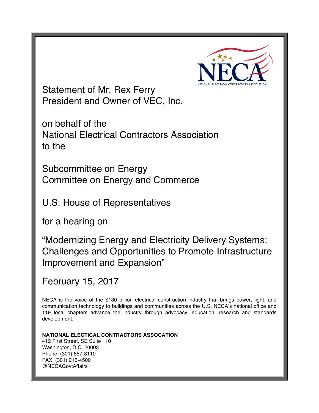

Statement of Mr. Rex Ferry President and Owner of VEC, Inc.

on behalf of the National Electrical Contractors Association to the

Subcommittee on Energy Committee on Energy and Commerce

U.S. House of Representatives

for a hearing on

"Modernizing Energy and Electricity Delivery Systems: Challenges and Opportunities to Promote Infrastructure Improvement and Expansion"

February 15, 2017

NECA is the voice of the \$130 billion electrical construction industry that brings power, light, and communication technology to buildings and communities across the U.S. NECA's national office and 119 local chapters advance the industry through advocacy, education, research and standards development.

**NATIONAL ELECTICAL CONTRACTORS ASSOCATION** 412 First Street, SE Suite 110 Washington, D.C. 20003 Phone: (301) 657-3110 FAX: (301) 215-4500 @NECAGovtAffairs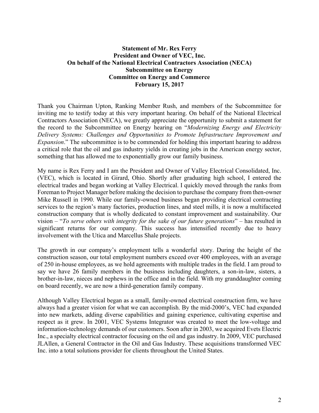# **Statement of Mr. Rex Ferry President and Owner of VEC, Inc. On behalf of the National Electrical Contractors Association (NECA) Subcommittee on Energy Committee on Energy and Commerce February 15, 2017**

Thank you Chairman Upton, Ranking Member Rush, and members of the Subcommittee for inviting me to testify today at this very important hearing. On behalf of the National Electrical Contractors Association (NECA), we greatly appreciate the opportunity to submit a statement for the record to the Subcommittee on Energy hearing on "*Modernizing Energy and Electricity Delivery Systems: Challenges and Opportunities to Promote Infrastructure Improvement and Expansion*." The subcommittee is to be commended for holding this important hearing to address a critical role that the oil and gas industry yields in creating jobs in the American energy sector, something that has allowed me to exponentially grow our family business.

My name is Rex Ferry and I am the President and Owner of Valley Electrical Consolidated, Inc. (VEC), which is located in Girard, Ohio. Shortly after graduating high school, I entered the electrical trades and began working at Valley Electrical. I quickly moved through the ranks from Foreman to Project Manager before making the decision to purchase the company from then-owner Mike Russell in 1990. While our family-owned business began providing electrical contracting services to the region's many factories, production lines, and steel mills, it is now a multifaceted construction company that is wholly dedicated to constant improvement and sustainability. Our vision – "*To serve others with integrity for the sake of our future generations*" – has resulted in significant returns for our company. This success has intensified recently due to heavy involvement with the Utica and Marcellus Shale projects.

The growth in our company's employment tells a wonderful story. During the height of the construction season, our total employment numbers exceed over 400 employees, with an average of 250 in-house employees, as we hold agreements with multiple trades in the field. I am proud to say we have 26 family members in the business including daughters, a son-in-law, sisters, a brother-in-law, nieces and nephews in the office and in the field. With my granddaughter coming on board recently, we are now a third-generation family company.

Although Valley Electrical began as a small, family-owned electrical construction firm, we have always had a greater vision for what we can accomplish. By the mid-2000's, VEC had expanded into new markets, adding diverse capabilities and gaining experience, cultivating expertise and respect as it grew. In 2001, VEC Systems Integrator was created to meet the low-voltage and information-technology demands of our customers. Soon after in 2003, we acquired Evets Electric Inc., a specialty electrical contractor focusing on the oil and gas industry. In 2009, VEC purchased JLAllen, a General Contractor in the Oil and Gas Industry. These acquisitions transformed VEC Inc. into a total solutions provider for clients throughout the United States.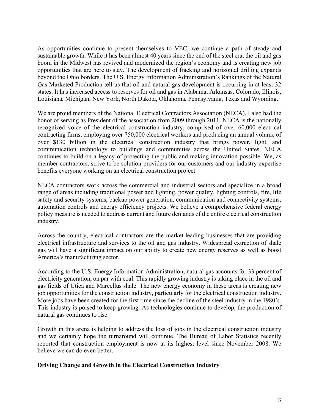As opportunities continue to present themselves to VEC, we continue a path of steady and sustainable growth. While it has been almost 40 years since the end of the steel era, the oil and gas boom in the Midwest has revived and modernized the region's economy and is creating new job opportunities that are here to stay. The development of fracking and horizontal drilling expands beyond the Ohio borders. The U.S. Energy Information Administration's Rankings of the Natural Gas Marketed Production tell us that oil and natural gas development is occurring in at least 32 states. It has increased access to reserves for oil and gas in Alabama, Arkansas, Colorado, Illinois, Louisiana, Michigan, New York, North Dakota, Oklahoma, Pennsylvania, Texas and Wyoming.

We are proud members of the National Electrical Contractors Association (NECA). I also had the honor of serving as President of the association from 2009 through 2011. NECA is the nationally recognized voice of the electrical construction industry, comprised of over 60,000 electrical contracting firms, employing over 750,000 electrical workers and producing an annual volume of over \$130 billion in the electrical construction industry that brings power, light, and communication technology to buildings and communities across the United States. NECA continues to build on a legacy of protecting the public and making innovation possible. We, as member contractors, strive to be solution-providers for our customers and our industry expertise benefits everyone working on an electrical construction project.

NECA contractors work across the commercial and industrial sectors and specialize in a broad range of areas including traditional power and lighting, power quality, lighting controls, fire, life safety and security systems, backup power generation, communication and connectivity systems, automation controls and energy efficiency projects. We believe a comprehensive federal energy policy measure is needed to address current and future demands of the entire electrical construction industry.

Across the country, electrical contractors are the market-leading businesses that are providing electrical infrastructure and services to the oil and gas industry. Widespread extraction of shale gas will have a significant impact on our ability to create new energy reserves as well as boost America's manufacturing sector.

According to the U.S. Energy Information Administration, natural gas accounts for 33 percent of electricity generation, on par with coal. This rapidly growing industry is taking place in the oil and gas fields of Utica and Marcellus shale. The new energy economy in these areas is creating new job opportunities for the construction industry, particularly for the electrical construction industry. More jobs have been created for the first time since the decline of the steel industry in the 1980's. This industry is poised to keep growing. As technologies continue to develop, the production of natural gas continues to rise.

Growth in this arena is helping to address the loss of jobs in the electrical construction industry and we certainly hope the turnaround will continue. The Bureau of Labor Statistics recently reported that construction employment is now at its highest level since November 2008. We believe we can do even better.

#### **Driving Change and Growth in the Electrical Construction Industry**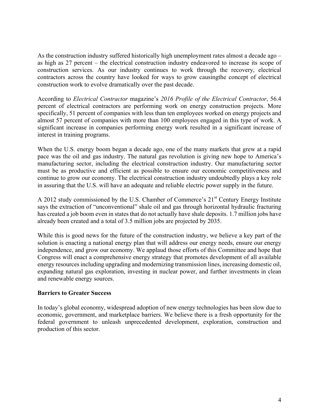As the construction industry suffered historically high unemployment rates almost a decade ago – as high as 27 percent – the electrical construction industry endeavored to increase its scope of construction services. As our industry continues to work through the recovery, electrical contractors across the country have looked for ways to grow causingthe concept of electrical construction work to evolve dramatically over the past decade.

According to *Electrical Contractor* magazine's *2016 Profile of the Electrical Contractor*, 56.4 percent of electrical contractors are performing work on energy construction projects. More specifically, 51 percent of companies with less than ten employees worked on energy projects and almost 57 percent of companies with more than 100 employees engaged in this type of work. A significant increase in companies performing energy work resulted in a significant increase of interest in training programs.

When the U.S. energy boom began a decade ago, one of the many markets that grew at a rapid pace was the oil and gas industry. The natural gas revolution is giving new hope to America's manufacturing sector, including the electrical construction industry. Our manufacturing sector must be as productive and efficient as possible to ensure our economic competitiveness and continue to grow our economy. The electrical construction industry undoubtedly plays a key role in assuring that the U.S. will have an adequate and reliable electric power supply in the future.

A 2012 study commissioned by the U.S. Chamber of Commerce's 21<sup>st</sup> Century Energy Institute says the extraction of "unconventional" shale oil and gas through horizontal hydraulic fracturing has created a job boom even in states that do not actually have shale deposits. 1.7 million jobs have already been created and a total of 3.5 million jobs are projected by 2035.

While this is good news for the future of the construction industry, we believe a key part of the solution is enacting a national energy plan that will address our energy needs, ensure our energy independence, and grow our economy. We applaud those efforts of this Committee and hope that Congress will enact a comprehensive energy strategy that promotes development of all available energy resources including upgrading and modernizing transmission lines, increasing domestic oil, expanding natural gas exploration, investing in nuclear power, and further investments in clean and renewable energy sources.

# **Barriers to Greater Success**

In today's global economy, widespread adoption of new energy technologies has been slow due to economic, government, and marketplace barriers. We believe there is a fresh opportunity for the federal government to unleash unprecedented development, exploration, construction and production of this sector.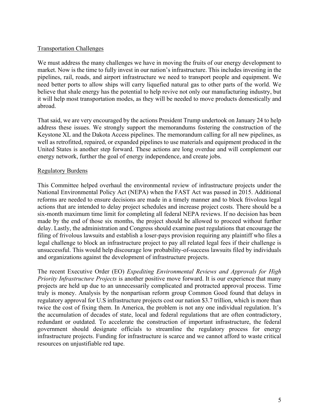#### Transportation Challenges

We must address the many challenges we have in moving the fruits of our energy development to market. Now is the time to fully invest in our nation's infrastructure. This includes investing in the pipelines, rail, roads, and airport infrastructure we need to transport people and equipment. We need better ports to allow ships will carry liquefied natural gas to other parts of the world. We believe that shale energy has the potential to help revive not only our manufacturing industry, but it will help most transportation modes, as they will be needed to move products domestically and abroad.

That said, we are very encouraged by the actions President Trump undertook on January 24 to help address these issues. We strongly support the memorandums fostering the construction of the Keystone XL and the Dakota Access pipelines. The memorandum calling for all new pipelines, as well as retrofitted, repaired, or expanded pipelines to use materials and equipment produced in the United States is another step forward. These actions are long overdue and will complement our energy network, further the goal of energy independence, and create jobs.

# Regulatory Burdens

This Committee helped overhaul the environmental review of infrastructure projects under the National Environmental Policy Act (NEPA) when the FAST Act was passed in 2015. Additional reforms are needed to ensure decisions are made in a timely manner and to block frivolous legal actions that are intended to delay project schedules and increase project costs. There should be a six-month maximum time limit for completing all federal NEPA reviews. If no decision has been made by the end of those six months, the project should be allowed to proceed without further delay. Lastly, the administration and Congress should examine past regulations that encourage the filing of frivolous lawsuits and establish a loser-pays provision requiring any plaintiff who files a legal challenge to block an infrastructure project to pay all related legal fees if their challenge is unsuccessful. This would help discourage low probability-of-success lawsuits filed by individuals and organizations against the development of infrastructure projects.

The recent Executive Order (EO) *Expediting Environmental Reviews and Approvals for High Priority Infrastructure Projects* is another positive move forward. It is our experience that many projects are held up due to an unnecessarily complicated and protracted approval process. Time truly is money. Analysis by the nonpartisan reform group Common Good found that delays in regulatory approval for U.S infrastructure projects cost our nation \$3.7 trillion, which is more than twice the cost of fixing them. In America, the problem is not any one individual regulation. It's the accumulation of decades of state, local and federal regulations that are often contradictory, redundant or outdated. To accelerate the construction of important infrastructure, the federal government should designate officials to streamline the regulatory process for energy infrastructure projects. Funding for infrastructure is scarce and we cannot afford to waste critical resources on unjustifiable red tape.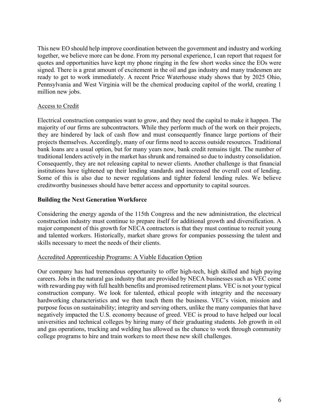This new EO should help improve coordination between the government and industry and working together, we believe more can be done. From my personal experience, I can report that request for quotes and opportunities have kept my phone ringing in the few short weeks since the EOs were signed. There is a great amount of excitement in the oil and gas industry and many tradesmen are ready to get to work immediately. A recent Price Waterhouse study shows that by 2025 Ohio, Pennsylvania and West Virginia will be the chemical producing capitol of the world, creating 1 million new jobs.

# Access to Credit

Electrical construction companies want to grow, and they need the capital to make it happen. The majority of our firms are subcontractors. While they perform much of the work on their projects, they are hindered by lack of cash flow and must consequently finance large portions of their projects themselves. Accordingly, many of our firms need to access outside resources. Traditional bank loans are a usual option, but for many years now, bank credit remains tight. The number of traditional lenders actively in the market has shrunk and remained so due to industry consolidation. Consequently, they are not releasing capital to newer clients. Another challenge is that financial institutions have tightened up their lending standards and increased the overall cost of lending. Some of this is also due to newer regulations and tighter federal lending rules. We believe creditworthy businesses should have better access and opportunity to capital sources.

# **Building the Next Generation Workforce**

Considering the energy agenda of the 115th Congress and the new administration, the electrical construction industry must continue to prepare itself for additional growth and diversification. A major component of this growth for NECA contractors is that they must continue to recruit young and talented workers. Historically, market share grows for companies possessing the talent and skills necessary to meet the needs of their clients.

# Accredited Apprenticeship Programs: A Viable Education Option

Our company has had tremendous opportunity to offer high-tech, high skilled and high paying careers. Jobs in the natural gas industry that are provided by NECA businesses such as VEC come with rewarding pay with full health benefits and promised retirement plans. VEC is not your typical construction company. We look for talented, ethical people with integrity and the necessary hardworking characteristics and we then teach them the business. VEC's vision, mission and purpose focus on sustainability; integrity and serving others, unlike the many companies that have negatively impacted the U.S. economy because of greed. VEC is proud to have helped our local universities and technical colleges by hiring many of their graduating students. Job growth in oil and gas operations, trucking and welding has allowed us the chance to work through community college programs to hire and train workers to meet these new skill challenges.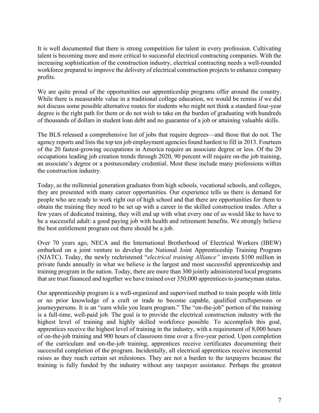It is well documented that there is strong competition for talent in every profession. Cultivating talent is becoming more and more critical to successful electrical contracting companies. With the increasing sophistication of the construction industry, electrical contracting needs a well-rounded workforce prepared to improve the delivery of electrical construction projects to enhance company profits.

We are quite proud of the opportunities our apprenticeship programs offer around the country. While there is measurable value in a traditional college education, we would be remiss if we did not discuss some possible alternative routes for students who might not think a standard four-year degree is the right path for them or do not wish to take on the burden of graduating with hundreds of thousands of dollars in student loan debt and no guarantee of a job or attaining valuable skills.

The BLS released a comprehensive list of jobs that require degrees—and those that do not. The agency reports and lists the top ten job employment agencies found hardest to fill in 2013. Fourteen of the 20 fastest-growing occupations in America require an associate degree or less. Of the 20 occupations leading job creation trends through 2020, 90 percent will require on-the job training, an associate's degree or a postsecondary credential. Most these include many professions within the construction industry.

Today, as the millennial generation graduates from high schools, vocational schools, and colleges, they are presented with many career opportunities. Our experience tells us there is demand for people who are ready to work right out of high school and that there are opportunities for them to obtain the training they need to be set up with a career in the skilled construction trades. After a few years of dedicated training, they will end up with what every one of us would like to have to be a successful adult: a good paying job with health and retirement benefits. We strongly believe the best entitlement program out there should be a job.

Over 70 years ago, NECA and the International Brotherhood of Electrical Workers (IBEW) embarked on a joint venture to develop the National Joint Apprenticeship Training Program (NJATC). Today, the newly rechristened "*electrical training Alliance"* invests \$100 million in private funds annually in what we believe is the largest and most successful apprenticeship and training program in the nation. Today, there are more than 300 jointly administered local programs that are trust financed and together we have trained over 350,000 apprentices to journeyman status.

Our apprenticeship program is a well-organized and supervised method to train people with little or no prior knowledge of a craft or trade to become capable, qualified craftspersons or journeypersons. It is an "earn while you learn program." The "on-the-job" portion of the training is a full-time, well-paid job. The goal is to provide the electrical construction industry with the highest level of training and highly skilled workforce possible. To accomplish this goal, apprentices receive the highest level of training in the industry, with a requirement of 8,000 hours of on-the-job training and 900 hours of classroom time over a five-year period. Upon completion of the curriculum and on-the-job training, apprentices receive certificates documenting their successful completion of the program. Incidentally, all electrical apprentices receive incremental raises as they reach certain set milestones. They are not a burden to the taxpayers because the training is fully funded by the industry without any taxpayer assistance. Perhaps the greatest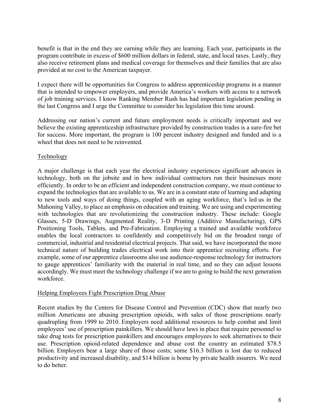benefit is that in the end they are earning while they are learning. Each year, participants in the program contribute in excess of \$600 million dollars in federal, state, and local taxes. Lastly, they also receive retirement plans and medical coverage for themselves and their families that are also provided at no cost to the American taxpayer.

I expect there will be opportunities for Congress to address apprenticeship programs in a manner that is intended to empower employers, and provide America's workers with access to a network of job training services. I know Ranking Member Rush has had important legislation pending in the last Congress and I urge the Committee to consider his legislation this time around.

Addressing our nation's current and future employment needs is critically important and we believe the existing apprenticeship infrastructure provided by construction trades is a sure-fire bet for success. More important, the program is 100 percent industry designed and funded and is a wheel that does not need to be reinvented.

# Technology

A major challenge is that each year the electrical industry experiences significant advances in technology, both on the jobsite and in how individual contractors run their businesses more efficiently. In order to be an efficient and independent construction company, we must continue to expand the technologies that are available to us. We are in a constant state of learning and adapting to new tools and ways of doing things, coupled with an aging workforce, that's led us in the Mahoning Valley, to place an emphasis on education and training. We are using and experimenting with technologies that are revolutionizing the construction industry. These include: Google Glasses, 5-D Drawings, Augmented Reality, 3-D Printing (Additive Manufacturing), GPS Positioning Tools, Tablets, and Pre-Fabrication. Employing a trained and available workforce enables the local contractors to confidently and competitively bid on the broadest range of commercial, industrial and residential electrical projects. That said, we have incorporated the more technical nature of building trades electrical work into their apprentice recruiting efforts. For example, some of our apprentice classrooms also use audience-response technology for instructors to gauge apprentices' familiarity with the material in real time, and so they can adjust lessons accordingly. We must meet the technology challenge if we are to going to build the next generation workforce.

# Helping Employees Fight Prescription Drug Abuse

Recent studies by the Centers for Disease Control and Prevention (CDC) show that nearly two million Americans are abusing prescription opioids, with sales of those prescriptions nearly quadrupling from 1999 to 2010. Employers need additional resources to help combat and limit employees' use of prescription painkillers. We should have laws in place that require personnel to take drug tests for prescription painkillers and encourages employees to seek alternatives to their use. Prescription opioid-related dependence and abuse cost the country an estimated \$78.5 billion. Employers bear a large share of those costs; some \$16.3 billion is lost due to reduced productivity and increased disability, and \$14 billion is borne by private health insurers. We need to do better.